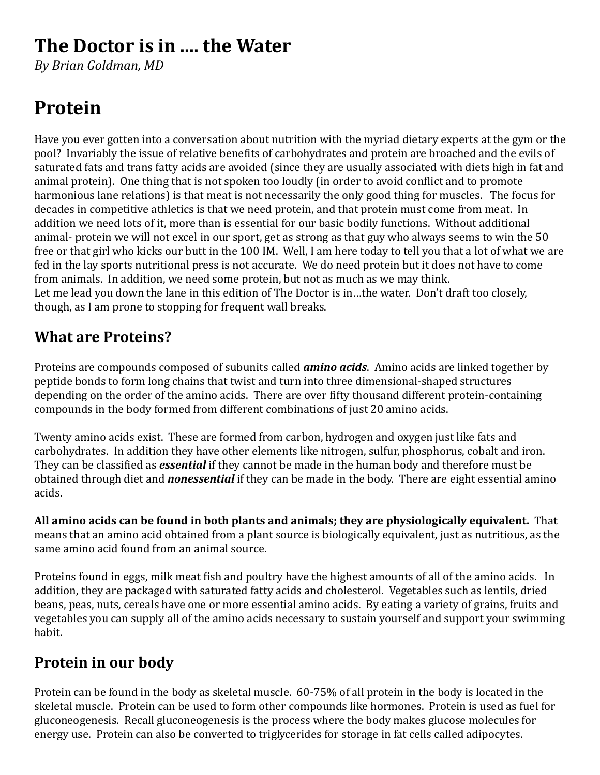## **The Doctor is in .... the Water**

*By Brian Goldman, MD*

# **Protein**

Have you ever gotten into a conversation about nutrition with the myriad dietary experts at the gym or the pool? Invariably the issue of relative benefits of carbohydrates and protein are broached and the evils of saturated fats and trans fatty acids are avoided (since they are usually associated with diets high in fat and animal protein). One thing that is not spoken too loudly (in order to avoid conflict and to promote harmonious lane relations) is that meat is not necessarily the only good thing for muscles. The focus for decades in competitive athletics is that we need protein, and that protein must come from meat. In addition we need lots of it, more than is essential for our basic bodily functions. Without additional animal- protein we will not excel in our sport, get as strong as that guy who always seems to win the 50 free or that girl who kicks our butt in the 100 IM. Well, I am here today to tell you that a lot of what we are fed in the lay sports nutritional press is not accurate. We do need protein but it does not have to come from animals. In addition, we need some protein, but not as much as we may think. Let me lead you down the lane in this edition of The Doctor is in...the water. Don't draft too closely, though, as I am prone to stopping for frequent wall breaks.

### **What are Proteins?**

Proteins are compounds composed of subunits called **amino acids**. Amino acids are linked together by peptide bonds to form long chains that twist and turn into three dimensional-shaped structures depending on the order of the amino acids. There are over fifty thousand different protein-containing compounds in the body formed from different combinations of just 20 amino acids.

Twenty amino acids exist. These are formed from carbon, hydrogen and oxygen just like fats and carbohydrates. In addition they have other elements like nitrogen, sulfur, phosphorus, cobalt and iron. They can be classified as *essential* if they cannot be made in the human body and therefore must be obtained through diet and **nonessential** if they can be made in the body. There are eight essential amino acids.

All amino acids can be found in both plants and animals; they are physiologically equivalent. That means that an amino acid obtained from a plant source is biologically equivalent, just as nutritious, as the same amino acid found from an animal source.

Proteins found in eggs, milk meat fish and poultry have the highest amounts of all of the amino acids. In addition, they are packaged with saturated fatty acids and cholesterol. Vegetables such as lentils, dried beans, peas, nuts, cereals have one or more essential amino acids. By eating a variety of grains, fruits and vegetables you can supply all of the amino acids necessary to sustain yourself and support your swimming habit.

### **Protein in our body**

Protein can be found in the body as skeletal muscle.  $60-75\%$  of all protein in the body is located in the skeletal muscle. Protein can be used to form other compounds like hormones. Protein is used as fuel for gluconeogenesis. Recall gluconeogenesis is the process where the body makes glucose molecules for energy use. Protein can also be converted to triglycerides for storage in fat cells called adipocytes.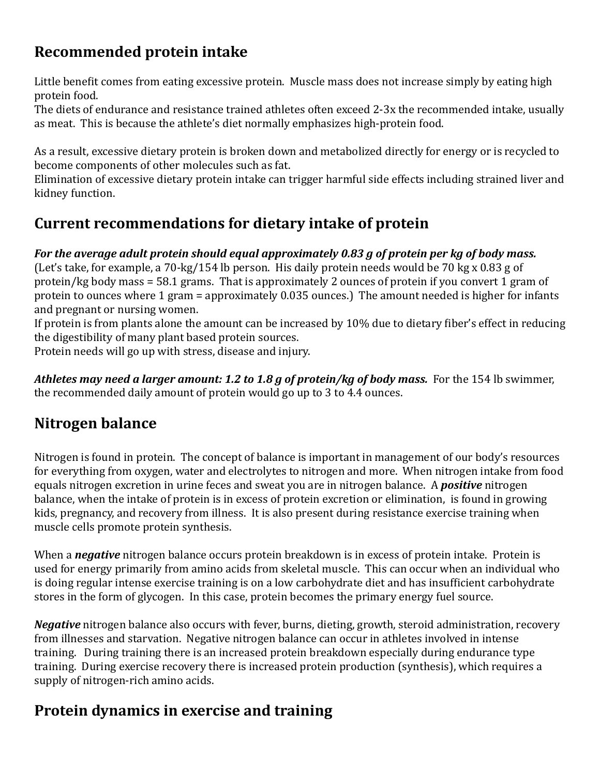### **Recommended protein intake**

Little benefit comes from eating excessive protein. Muscle mass does not increase simply by eating high protein food.

The diets of endurance and resistance trained athletes often exceed 2-3x the recommended intake, usually as meat. This is because the athlete's diet normally emphasizes high-protein food.

As a result, excessive dietary protein is broken down and metabolized directly for energy or is recycled to become components of other molecules such as fat.

Elimination of excessive dietary protein intake can trigger harmful side effects including strained liver and kidney function.

### **Current recommendations for dietary intake of protein**

#### *For the average adult protein should equal approximately 0.83 g of protein per kg of body mass.*

(Let's take, for example, a  $70$ -kg/154 lb person. His daily protein needs would be  $70$  kg x  $0.83$  g of protein/kg body mass =  $58.1$  grams. That is approximately 2 ounces of protein if you convert 1 gram of protein to ounces where 1 gram = approximately  $0.035$  ounces.) The amount needed is higher for infants and pregnant or nursing women.

If protein is from plants alone the amount can be increased by 10% due to dietary fiber's effect in reducing the digestibility of many plant based protein sources.

Protein needs will go up with stress, disease and injury.

Athletes may need a larger amount: 1.2 to 1.8 g of protein/kg of body mass. For the 154 lb swimmer, the recommended daily amount of protein would go up to 3 to 4.4 ounces.

### **Nitrogen balance**

Nitrogen is found in protein. The concept of balance is important in management of our body's resources for everything from oxygen, water and electrolytes to nitrogen and more. When nitrogen intake from food equals nitrogen excretion in urine feces and sweat you are in nitrogen balance. A **positive** nitrogen balance, when the intake of protein is in excess of protein excretion or elimination, is found in growing kids, pregnancy, and recovery from illness. It is also present during resistance exercise training when muscle cells promote protein synthesis.

When a **negative** nitrogen balance occurs protein breakdown is in excess of protein intake. Protein is used for energy primarily from amino acids from skeletal muscle. This can occur when an individual who is doing regular intense exercise training is on a low carbohydrate diet and has insufficient carbohydrate stores in the form of glycogen. In this case, protein becomes the primary energy fuel source.

*Negative* nitrogen balance also occurs with fever, burns, dieting, growth, steroid administration, recovery from illnesses and starvation. Negative nitrogen balance can occur in athletes involved in intense training. During training there is an increased protein breakdown especially during endurance type training. During exercise recovery there is increased protein production (synthesis), which requires a supply of nitrogen-rich amino acids.

### **Protein dynamics in exercise and training**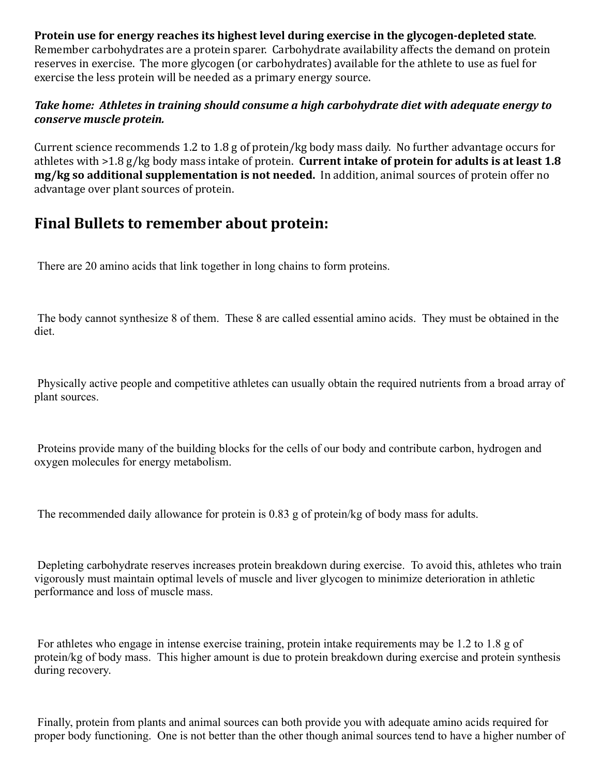**Protein use for energy reaches its highest level during exercise in the glycogen-depleted state.** Remember carbohydrates are a protein sparer. Carbohydrate availability affects the demand on protein reserves in exercise. The more glycogen (or carbohydrates) available for the athlete to use as fuel for exercise the less protein will be needed as a primary energy source.

#### Take home: Athletes in training should consume a high carbohydrate diet with adequate energy to *conserve muscle protein.*

Current science recommends 1.2 to 1.8 g of protein/kg body mass daily. No further advantage occurs for athletes with >1.8 g/kg body mass intake of protein. **Current intake of protein for adults is at least 1.8 mg/kg so additional supplementation is not needed.** In addition, animal sources of protein offer no advantage over plant sources of protein.

### **Final Bullets to remember about protein:**

There are 20 amino acids that link together in long chains to form proteins.

The body cannot synthesize 8 of them. These 8 are called essential amino acids. They must be obtained in the diet.

Physically active people and competitive athletes can usually obtain the required nutrients from a broad array of plant sources.

Proteins provide many of the building blocks for the cells of our body and contribute carbon, hydrogen and oxygen molecules for energy metabolism.

The recommended daily allowance for protein is 0.83 g of protein/kg of body mass for adults.

Depleting carbohydrate reserves increases protein breakdown during exercise. To avoid this, athletes who train vigorously must maintain optimal levels of muscle and liver glycogen to minimize deterioration in athletic performance and loss of muscle mass.

For athletes who engage in intense exercise training, protein intake requirements may be 1.2 to 1.8 g of protein/kg of body mass. This higher amount is due to protein breakdown during exercise and protein synthesis during recovery.

Finally, protein from plants and animal sources can both provide you with adequate amino acids required for proper body functioning. One is not better than the other though animal sources tend to have a higher number of